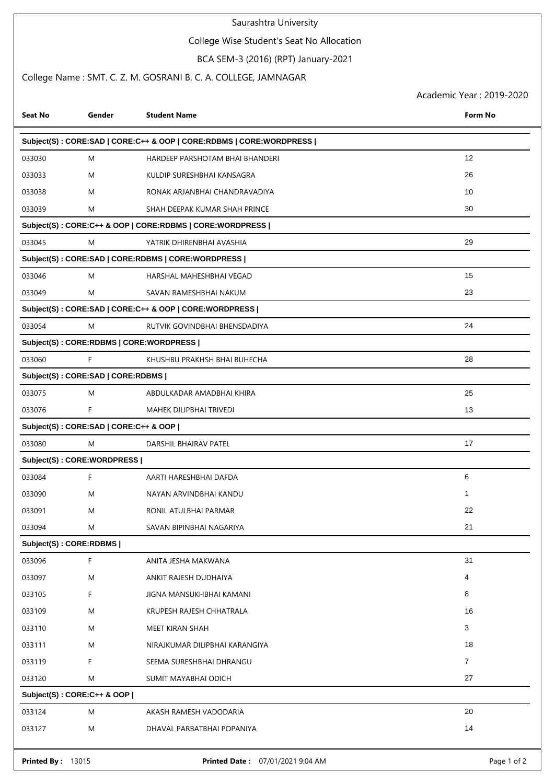## Saurashtra University

# College Wise Student's Seat No Allocation

# BCA SEM-3 (2016) (RPT) January-2021

## College Name : SMT. C. Z. M. GOSRANI B. C. A. COLLEGE, JAMNAGAR

Academic Year : 2019-2020

| <b>Seat No</b>                        | Gender | <b>Student Name</b>                                                 | <b>Form No</b> |  |  |  |
|---------------------------------------|--------|---------------------------------------------------------------------|----------------|--|--|--|
|                                       |        | Subject(S): CORE:SAD   CORE:C++ & OOP   CORE:RDBMS   CORE:WORDPRESS |                |  |  |  |
| 033030                                | M      | HARDEEP PARSHOTAM BHAI BHANDERI                                     | 12             |  |  |  |
| 033033                                | M      | KULDIP SURESHBHAI KANSAGRA                                          | 26             |  |  |  |
| 033038                                | M      | RONAK ARJANBHAI CHANDRAVADIYA                                       | 10             |  |  |  |
| 033039                                | M      | SHAH DEEPAK KUMAR SHAH PRINCE                                       | 30             |  |  |  |
|                                       |        | Subject(S): CORE:C++ & OOP   CORE:RDBMS   CORE:WORDPRESS            |                |  |  |  |
| 033045                                | M      | YATRIK DHIRENBHAI AVASHIA                                           | 29             |  |  |  |
|                                       |        | Subject(S): CORE:SAD   CORE:RDBMS   CORE:WORDPRESS                  |                |  |  |  |
| 033046                                | M      | HARSHAL MAHESHBHAI VEGAD                                            | 15             |  |  |  |
| 033049                                | M      | SAVAN RAMESHBHAI NAKUM                                              | 23             |  |  |  |
|                                       |        | Subject(S): CORE:SAD   CORE:C++ & OOP   CORE:WORDPRESS              |                |  |  |  |
| 033054                                | M      | RUTVIK GOVINDBHAI BHENSDADIYA                                       | 24             |  |  |  |
|                                       |        | Subject(S): CORE:RDBMS   CORE:WORDPRESS                             |                |  |  |  |
| 033060                                | F      | KHUSHBU PRAKHSH BHAI BUHECHA                                        | 28             |  |  |  |
| Subject(S): CORE:SAD   CORE:RDBMS     |        |                                                                     |                |  |  |  |
| 033075                                | M      | ABDULKADAR AMADBHAI KHIRA                                           | 25             |  |  |  |
| 033076                                | F      | MAHEK DILIPBHAI TRIVEDI                                             | 13             |  |  |  |
| Subject(S): CORE:SAD   CORE:C++ & OOP |        |                                                                     |                |  |  |  |
| 033080                                | M      | DARSHIL BHAIRAV PATEL                                               | 17             |  |  |  |
| Subject(S): CORE: WORDPRESS           |        |                                                                     |                |  |  |  |
| 033084                                | F      | AARTI HARESHBHAI DAFDA                                              | 6              |  |  |  |
| 033090                                | M      | NAYAN ARVINDBHAI KANDU                                              | -1             |  |  |  |
| 033091                                | M      | RONIL ATULBHAI PARMAR                                               | 22             |  |  |  |
| 033094                                | M      | SAVAN BIPINBHAI NAGARIYA                                            | 21             |  |  |  |
| Subject(S): CORE:RDBMS                |        |                                                                     |                |  |  |  |
| 033096                                | F      | ANITA JESHA MAKWANA                                                 | 31             |  |  |  |
| 033097                                | M      | ANKIT RAJESH DUDHAIYA                                               | 4              |  |  |  |
| 033105                                | F.     | JIGNA MANSUKHBHAI KAMANI                                            | 8              |  |  |  |
| 033109                                | M      | KRUPESH RAJESH CHHATRALA                                            | 16             |  |  |  |
| 033110                                | M      | MEET KIRAN SHAH                                                     | 3              |  |  |  |
| 033111                                | M      | NIRAJKUMAR DILIPBHAI KARANGIYA                                      | 18             |  |  |  |
| 033119                                | F      | SEEMA SURESHBHAI DHRANGU                                            | $\overline{7}$ |  |  |  |
| 033120                                | M      | SUMIT MAYABHAI ODICH                                                | 27             |  |  |  |
| Subject(S): CORE:C++ & OOP            |        |                                                                     |                |  |  |  |
| 033124                                | M      | AKASH RAMESH VADODARIA                                              | 20             |  |  |  |
| 033127                                | M      | DHAVAL PARBATBHAI POPANIYA                                          | 14             |  |  |  |
| <b>Printed By: 13015</b>              |        | Printed Date: 07/01/2021 9:04 AM                                    | Page 1 of 2    |  |  |  |